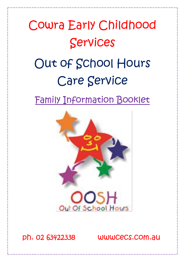### Cowra Early Childhood Services Out of School Hours Care Service Family Information Booklet



ph. 02 63422338 wwwcecs.com.au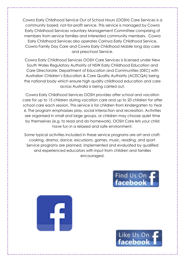Cowra Early Childhood Service Out of School Hours (OOSH) Care Services is a community based, not-for-profit service. This service is managed by Cowra Early Childhood Services voluntary Management Committee comprising of members from service families and interested community members. Cowra Early Childhood Services also operates Carinya Early Childhood Service, Cowra Family Day Care and Cowra Early Childhood Mobile long day care and preschool Service.

Cowra Early Childhood Services OOSH Care Services is licensed under New South Wales Regulatory Authority of NSW Early Childhood Education and Care Directorate; Department of Education and Communities (DEC) with Australian Children's Education & Care Quality Authority (ACECQA) being the national body which ensure high quality childhood education and care across Australia is being carried out.

Cowra Early Childhood Services OOSH provides after school and vacation care for up to 15 children during vacation care and up to 20 children for after school care each session. This service is for children from kindergarten to Year 6. The program emphasises play, social interaction and recreation. Activities are organised in small and large groups, or children may choose quiet time by themselves (e.g. to read and do homework). OOSH Care lets your child have fun in a relaxed and safe environment.

Some typical activities included in these service programs are art and craft, cooking, drama, dance, excursions, games, music, reading, and sport. Service programs are planned, implemented and evaluated by qualified and experienced educators with input from children and families encouraged.



Like Us On

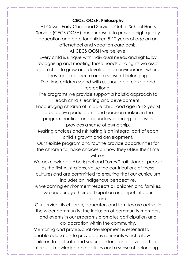#### **CECS: OOSH: Philosophy**

At Cowra Early Childhood Services Out of School Hours Service (CECS OOSH) our purpose is to provide high quality education and care for children 5-12 years of age on an afterschool and vacation care basis.

At CECS OOSH we believe;

Every child is unique with individual needs and rights, by recognising and meeting these needs and rights we assist each child to grow and develop in an environment where

they feel safe secure and a sense of belonging. The time children spend with us should be relaxed and recreational.

The programs we provide support a holistic approach to each child's learning and development.

Encouraging children of middle childhood age (5-12 years) to be active participants and decision makers in the program, routine, and boundary planning processes provides a sense of ownership.

Making choices and risk taking is an integral part of each child's growth and development.

Our flexible program and routine provide opportunities for the children to make choices on how they utilise their time with us.

We acknowledge Aboriginal and Torres Strait Islander people as the first Australians, value the contributions of these cultures and are committed to ensuring that our curriculum includes an indigenous perspective.

A welcoming environment respects all children and families, we encourage their participation and input into our programs.

Our service, its children, educators and families are active in the wider community; the inclusion of community members and events in our programs promotes participation and collaboration within the community.

Mentoring and professional development is essential to enable educators to provide environments which allow children to feel safe and secure, extend and develop their interests, knowledge and abilities and a sense of belonging.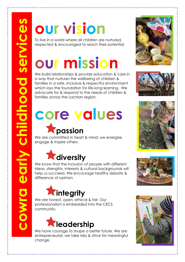## **our vision**

To live in a world where all children are nurtured, respected & encouraged to reach their potential.

### **our mission**

We build relationships & provide education & care in a way that nurtures the wellbeing of children & families in a safe, inclusive & respectful environment which lays the foundation for life-long learning. We advocate for & respond to the needs of children & families across the Lachlan region.

# **core values**

### **passion**

We are committed in heart & mind; we energize, engage & inspire others.



We know that the inclusion of people with different ideas, strengths, interests & cultural backgrounds will help us succeed. We encourage healthy debate & difference of opinion.



We are honest, open, ethical & fair. Our professionalism is embedded into the CECS community.



We have courage to shape a better future. We are entrepreneurial, we take risks & strive for meaningful change.









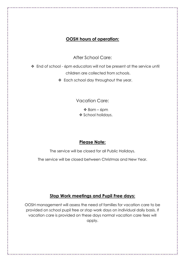#### **OOSH hours of operation:**

After School Care:

❖ End of school - 6pm educators will not be present at the service until children are collected from schools.

❖ Each school day throughout the year.

Vacation Care:

 $\div$  8am – 6pm ❖ School holidays.

#### **Please Note:**

The service will be closed for all Public Holidays.

The service will be closed between Christmas and New Year.

#### **Stop Work meetings and Pupil Free days:**

OOSH management will assess the need of families for vacation care to be provided on school pupil free or stop work days on individual daily basis. If vacation care is provided on these days normal vacation care fees will apply.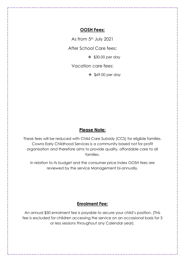#### **OOSH Fees:**

As from 5<sup>th</sup> July 2021

After School Care fees:

❖ \$30.00 per day

Vacation care fees:

❖ \$69.00 per day

#### **Please Note:**

These fees will be reduced with Child Care Subsidy (CCS) for eligible families. Cowra Early Childhood Services is a community based not for profit organisation and therefore aims to provide quality, affordable care to all families.

In relation to its budget and the consumer price index OOSH fees are reviewed by the service Management bi-annually.

#### **Enrolment Fee:**

An annual \$50 enrolment fee is payable to secure your child's position. (This fee is excluded for children accessing the service on an occasional basis for 3 or less sessions throughout any Calendar year).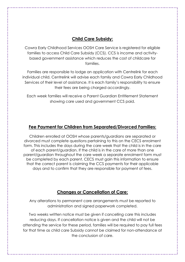#### **Child Care Subsidy:**

Cowra Early Childhood Services OOSH Care Service is registered for eligible families to access Child Care Subsidy (CCS). CCS is income and activitybased government assistance which reduces the cost of childcare for families.

Families are responsible to lodge an application with Centrelink for each individual child. Centrelink will advise each family and Cowra Early Childhood Services of their level of assistance. It is each family's responsibility to ensure their fees are being charged accordingly.

Each week families will receive a Parent Guardian Entitlement Statement showing care used and government CCS paid.

#### **Fee Payment for Children from Separated/Divorced Families:**

Children enrolled at OOSH whose parents/guardians are separated or divorced must complete questions pertaining to this on the CECS enrolment form. This includes the days during the care week that the child is in the care of each parent/guardian. If the child is in the care of more than one parent/guardian throughout the care week a separate enrolment form must be completed by each parent. CECS must gain this information to ensure that the correct parent is claiming the CCS payments for their applicable days and to confirm that they are responsible for payment of fees.

#### **Changes or Cancellation of Care:**

Any alterations to permanent care arrangements must be reported to administration and signed paperwork completed.

Two weeks written notice must be given if cancelling care this includes reducing days. If cancellation notice is given and the child will not be attending the service for these period, families will be required to pay full fees for that time as child care Subsidy cannot be claimed for non-attendance at the conclusion of care.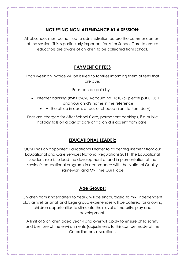#### **NOTIFYING NON-ATTENDANCE AT A SESSION:**

All absences must be notified to administration before the commencement of the session. This is particularly important for After School Care to ensure educators are aware of children to be collected from school.

#### **PAYMENT OF FEES**

Each week an invoice will be issued to families informing them of fees that are due.

Fees can be paid by –

- Internet banking (BSB 032820 Account no. 161076) please put OOSH and your child's name in the reference
	- At the office in cash, eftpos or cheque (9am to 4pm daily)

Fees are charged for After School Care, permanent bookings, if a public holiday falls on a day of care or if a child is absent from care.

#### **EDUCATIONAL LEADER:**

OOSH has an appointed Educational Leader to as per requirement from our Educational and Care Services National Regulations 2011. The Educational Leader's role is to lead the development of and implementation of the service's educational programs in accordance with the National Quality Framework and My Time Our Place.

#### **Age Groups:**

Children from kindergarten to Year 6 will be encouraged to mix. Independent play as well as small and large group experiences will be catered for allowing children opportunities to stimulate their level of maturity, play and development.

A limit of 5 children aged year 4 and over will apply to ensure child safety and best use of the environments (adjustments to this can be made at the Co-ordinator's discretion).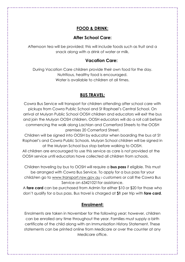#### **FOOD & DRINK:**

#### **After School Care:**

Afternoon tea will be provided; this will include foods such as fruit and a snack along with a drink of water or milk.

#### **Vacation Care:**

During Vacation Care children provide their own food for the day. Nutritious, healthy food is encouraged. Water is available to children at all times.

#### **BUS TRAVEL:**

Cowra Bus Service will transport for children attending after school care with pickups from Cowra Public School and St Raphael's Central School. On arrival at Mulyan Public School OOSH children and educators will exit the bus and join the Mulyan OOSH children, OOSH educators will do a roll call before commencing the walk along Lachlan and Comerford Streets to the OOSH premises 20 Comerford Street.

Children will be signed into OOSH by educator when boarding the bus at St Raphael's and Cowra Public Schools. Mulyan School children will be signed in at the Mulyan School bus stop before walking to OOSH.

All children are encouraged to use this service as care is not provided at the OOSH service until educators have collected all children from schools.

Children traveling by bus to OOSH will require a **bus pass** if eligible. This must be arranged with Cowra Bus Service. To apply for a bus pass for your child/ren go to [www.transport.nsw.gov.au](http://www.transport.nsw.gov.au/) *› customers* or call the Cowra Bus Service on 63421021for assistance.

A **fare card** can be purchased from Admin for either \$10 or \$20 for those who don't qualify for a bus pass. Bus travel is charged at **\$1** per trip with **fare card**.

#### **Enrolment:**

Enrolments are taken in November for the following year; however, children can be enrolled any time throughout the year. Families must supply a birth certificate of the child along with an Immunisation History Statement. These statements can be printed online from Medicare or over the counter at any Medicare office.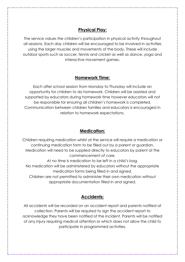#### **Physical Play:**

The service values the children's participation in physical activity throughout all sessions. Each day children will be encouraged to be involved in activities using the larger muscles and movements of the body. These will include outdoor sports such as soccer, tennis and cricket as well as dance, yoga and interactive movement games.

#### **Homework Time:**

Each after school session from Monday to Thursday will include an opportunity for children to do homework. Children will be assisted and supported by educators during homework time however educators will not be responsible for ensuring all children's homework is completed. Communication between children families and educators is encouraged in relation to homework expectations.

#### **Medication:**

Children requiring medication whilst at the service will require a medication or continuing medication form to be filled out by a parent or guardian. Medication will need to be supplied directly to educators by parent at the commencement of care.

At no time is medication to be left in a child's bag. No medication will be administered by educators without the appropriate medication forms being filled in and signed.

Children are not permitted to administer their own medication without appropriate documentation filled in and signed.

#### **Accidents:**

All accidents will be recorded on an accident report and parents notified at collection. Parents will be required to sign the accident report to acknowledge they have been notified of the incident. Parents will be notified of any injury requiring medical attention or which does not allow the child to participate in programmed activities.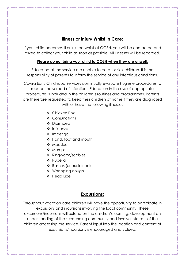#### **Illness or injury Whilst in Care:**

If your child becomes ill or injured whilst at OOSH, you will be contacted and asked to collect your child as soon as possible. All Illnesses will be recorded.

#### **Please do not bring your child to OOSH when they are unwell.**

Educators at the service are unable to care for sick children. It is the responsibility of parents to inform the service of any infectious conditions.

Cowra Early Childhood Services continually evaluate hygiene procedures to reduce the spread of infection. Education in the use of appropriate procedures is included in the children's routines and programmes. Parents are therefore requested to keep their children at home if they are diagnosed with or have the following illnesses

- ❖ Chicken Pox
- ❖ Conjunctivitis
- ❖ Diarrhoea
- ❖ Influenza
- ❖ Impetigo
- ❖ Hand, foot and mouth
- ❖ Measles
- ❖ Mumps
- ❖ Ringworm/scabies
- ❖ Rubella
- ❖ Rashes (unexplained)
- ❖ Whooping cough
- ❖ Head Lice

#### **Excursions:**

Throughout vacation care children will have the opportunity to participate in excursions and incursions involving the local community. These excursions/incursions will extend on the children's learning, development an understanding of the surrounding community and involve interests of the children accessing the service. Parent input into the location and content of excursions/incursions is encouraged and valued.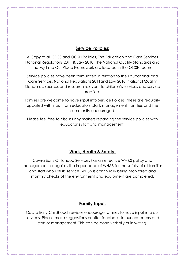#### **Service Policies:**

A Copy of all CECS and OOSH Policies, The Education and Care Services National Regulations 2011 & Law 2010, The National Quality Standards and the My Time Our Place Framework are located in the OOSH rooms.

Service policies have been formulated in relation to the Educational and Care Services National Regulations 2011and Law 2010, National Quality Standards, sources and research relevant to children's services and service practices.

Families are welcome to have input into Service Polices, these are regularly updated with input from educators, staff, management, families and the community encouraged.

Please feel free to discuss any matters regarding the service policies with educator's staff and management.

#### **Work, Health & Safety:**

Cowra Early Childhood Services has an effective WH&S policy and management recognises the importance of WH&S for the safety of all families and staff who use its service. WH&S is continually being monitored and monthly checks of the environment and equipment are completed.

#### **Family Input:**

Cowra Early Childhood Services encourage families to have input into our services. Please make suggestions or offer feedback to our educators and staff or management. This can be done verbally or in writing.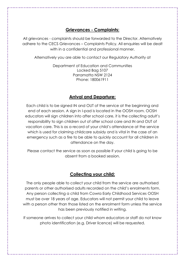#### **Grievances - Complaints:**

All grievances - complaints should be forwarded to the Director. Alternatively adhere to the CECS Grievances – Complaints Policy. All enquiries will be dealt with in a confidential and professional manner.

Alternatively you are able to contact our Regulatory Authority at

Department of Education and Communities Locked Bag 5107 Parramatta NSW 2124 Phone: 180061911

#### **Arrival and Departure:**

Each child is to be signed IN and OUT of the service at the beginning and end of each session. A sign in I-pad is located in the OOSH room. OOSH educators will sign children into after school care, it is the collecting adult's responsibility to sign children out of after school care and IN and OUT of vacation care. This is as a record of your child's attendance at the service which is used for claiming childcare subsidy and is vital in the case of an emergency such as a fire to be able to quickly account for all children in attendance on the day.

Please contact the service as soon as possible if your child is going to be absent from a booked session.

#### **Collecting your child:**

The only people able to collect your child from the service are authorised parents or other authorised adults recorded on the child's enrolments form. Any person collecting a child from Cowra Early Childhood Services OOSH must be over 18 years of age. Educators will not permit your child to leave with a person other than those listed on the enrolment form unless the service has been previously notified in writing.

If someone arrives to collect your child whom educators or staff do not know photo identification (e.g. Driver licence) will be requested.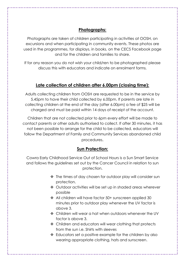#### **Photographs:**

Photographs are taken of children participating in activities at OOSH, on excursions and when participating in community events. These photos are used in the programmes, for displays, in books, on the CECS Facebook page and for the children and families to share.

If for any reason you do not wish your child/ren to be photographed please discuss this with educators and indicate on enrolment forms.

#### **Late collection of children after 6.00pm (closing time):**

Adults collecting children from OOSH are requested to be in the service by 5.45pm to have their child collected by 6.00pm. If parents are late in collecting children at the end of the day (after 6.00pm) a fee of \$25 will be charged and must be paid within 14 days of receipt of the account.

Children that are not collected prior to 6pm every effort will be made to contact parents or other adults authorised to collect. If after 30 minutes, it has not been possible to arrange for the child to be collected, educators will follow the Department of Family and Community Services abandoned child procedures.

#### **Sun Protection:**

Cowra Early Childhood Service Out of School Hours is a Sun Smart Service and follows the guidelines set out by the Cancer Council in relation to sun protection.

- ❖ The times of day chosen for outdoor play will consider sun protection.
- ❖ Outdoor activities will be set up in shaded areas wherever possible
- ❖ All children will have factor 50+ sunscreen applied 30 minutes prior to outdoor play whenever the UV factor is above 3.
- ❖ Children will wear a hat when outdoors whenever the UV factor is above 3.
- ❖ Children and educators will wear clothing that protects from the sun i.e. Shirts with sleeves
- ❖ Educators set a positive example for the children by also wearing appropriate clothing, hats and sunscreen.